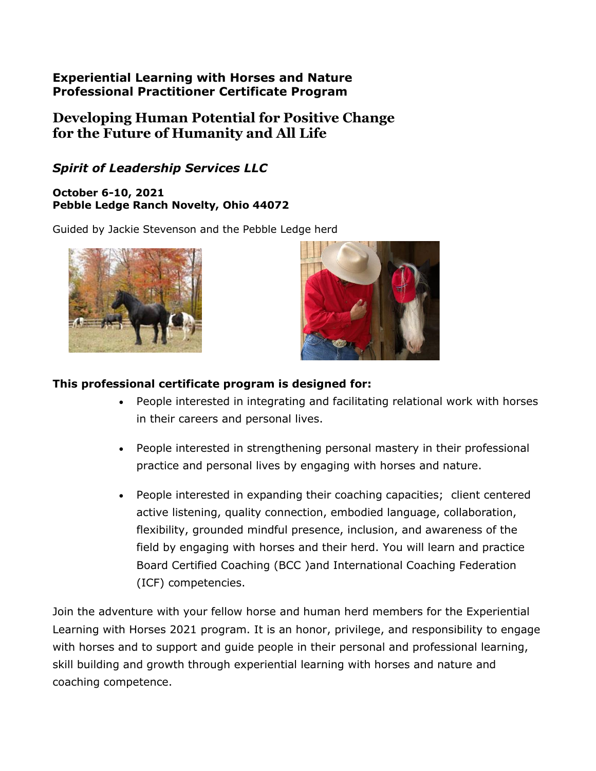## **Experiential Learning with Horses and Nature Professional Practitioner Certificate Program**

# **Developing Human Potential for Positive Change for the Future of Humanity and All Life**

## *Spirit of Leadership Services LLC*

### **October 6-10, 2021 Pebble Ledge Ranch Novelty, Ohio 44072**

Guided by Jackie Stevenson and the Pebble Ledge herd





## **This professional certificate program is designed for:**

- People interested in integrating and facilitating relational work with horses in their careers and personal lives.
- People interested in strengthening personal mastery in their professional practice and personal lives by engaging with horses and nature.
- People interested in expanding their coaching capacities; client centered active listening, quality connection, embodied language, collaboration, flexibility, grounded mindful presence, inclusion, and awareness of the field by engaging with horses and their herd. You will learn and practice Board Certified Coaching (BCC )and International Coaching Federation (ICF) competencies.

Join the adventure with your fellow horse and human herd members for the Experiential Learning with Horses 2021 program. It is an honor, privilege, and responsibility to engage with horses and to support and guide people in their personal and professional learning, skill building and growth through experiential learning with horses and nature and coaching competence.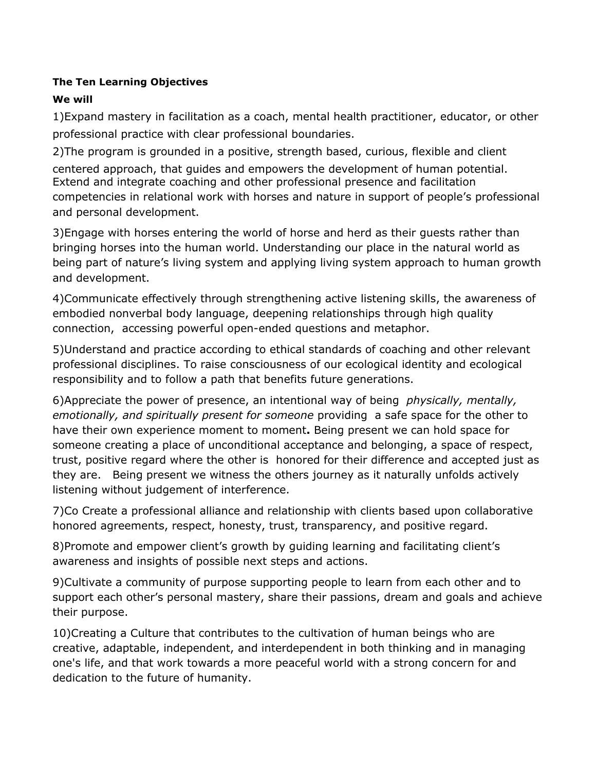### **The Ten Learning Objectives**

## **We will**

1)Expand mastery in facilitation as a coach, mental health practitioner, educator, or other professional practice with clear professional boundaries.

2)The program is grounded in a positive, strength based, curious, flexible and client

centered approach, that guides and empowers the development of human potential. Extend and integrate coaching and other professional presence and facilitation competencies in relational work with horses and nature in support of people's professional and personal development.

3)Engage with horses entering the world of horse and herd as their guests rather than bringing horses into the human world. Understanding our place in the natural world as being part of nature's living system and applying living system approach to human growth and development.

4)Communicate effectively through strengthening active listening skills, the awareness of embodied nonverbal body language, deepening relationships through high quality connection, accessing powerful open-ended questions and metaphor.

5)Understand and practice according to ethical standards of coaching and other relevant professional disciplines. To raise consciousness of our ecological identity and ecological responsibility and to follow a path that benefits future generations.

6)Appreciate the power of presence, an intentional way of being *physically, mentally, emotionally, and spiritually present for someone* providing a safe space for the other to have their own experience moment to moment**.** Being present we can hold space for someone creating a place of unconditional acceptance and belonging, a space of respect, trust, positive regard where the other is honored for their difference and accepted just as they are. Being present we witness the others journey as it naturally unfolds actively listening without judgement of interference.

7)Co Create a professional alliance and relationship with clients based upon collaborative honored agreements, respect, honesty, trust, transparency, and positive regard.

8)Promote and empower client's growth by guiding learning and facilitating client's awareness and insights of possible next steps and actions.

9)Cultivate a community of purpose supporting people to learn from each other and to support each other's personal mastery, share their passions, dream and goals and achieve their purpose.

10)Creating a Culture that contributes to the cultivation of human beings who are creative, adaptable, independent, and interdependent in both thinking and in managing one's life, and that work towards a more peaceful world with a strong concern for and dedication to the future of humanity.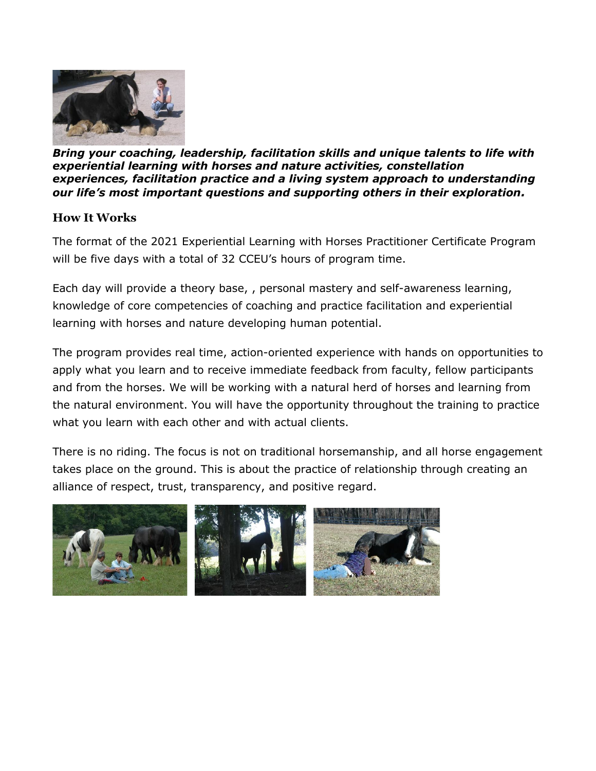

*Bring your coaching, leadership, facilitation skills and unique talents to life with experiential learning with horses and nature activities, constellation experiences, facilitation practice and a living system approach to understanding our life's most important questions and supporting others in their exploration.*

## **How It Works**

The format of the 2021 Experiential Learning with Horses Practitioner Certificate Program will be five days with a total of 32 CCEU's hours of program time.

Each day will provide a theory base, , personal mastery and self-awareness learning, knowledge of core competencies of coaching and practice facilitation and experiential learning with horses and nature developing human potential.

The program provides real time, action-oriented experience with hands on opportunities to apply what you learn and to receive immediate feedback from faculty, fellow participants and from the horses. We will be working with a natural herd of horses and learning from the natural environment. You will have the opportunity throughout the training to practice what you learn with each other and with actual clients.

There is no riding. The focus is not on traditional horsemanship, and all horse engagement takes place on the ground. This is about the practice of relationship through creating an alliance of respect, trust, transparency, and positive regard.

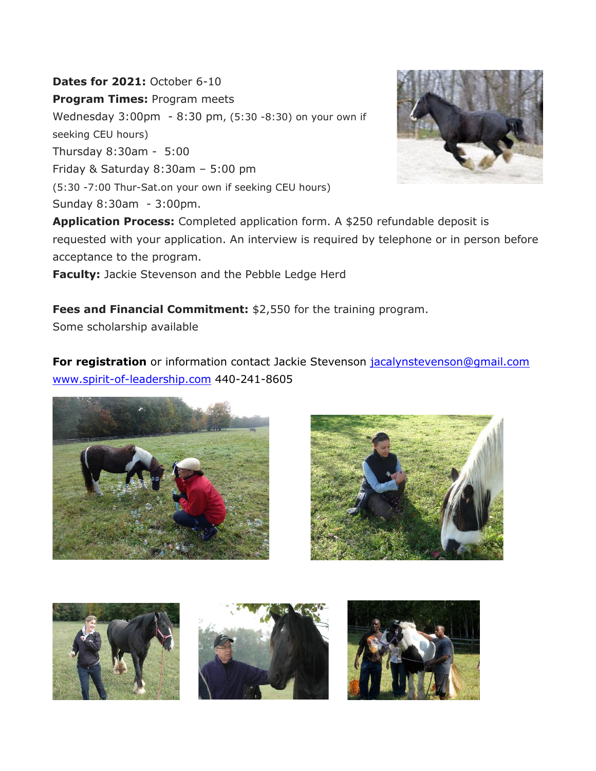## **Dates for 2021:** October 6-10

**Program Times:** Program meets Wednesday 3:00pm - 8:30 pm, (5:30 -8:30) on your own if seeking CEU hours) Thursday 8:30am - 5:00 Friday & Saturday 8:30am – 5:00 pm (5:30 -7:00 Thur-Sat.on your own if seeking CEU hours) Sunday 8:30am - 3:00pm.



**Application Process:** Completed application form. A \$250 refundable deposit is requested with your application. An interview is required by telephone or in person before acceptance to the program.

**Faculty:** Jackie Stevenson and the Pebble Ledge Herd

**Fees and Financial Commitment:** \$2,550 for the training program.

Some scholarship available

**For registration** or information contact Jackie Stevenson jacalynstevenson@gmail.com [www.spirit-of-leadership.com](http://www.spirit-of-leadership.com/) 440-241-8605





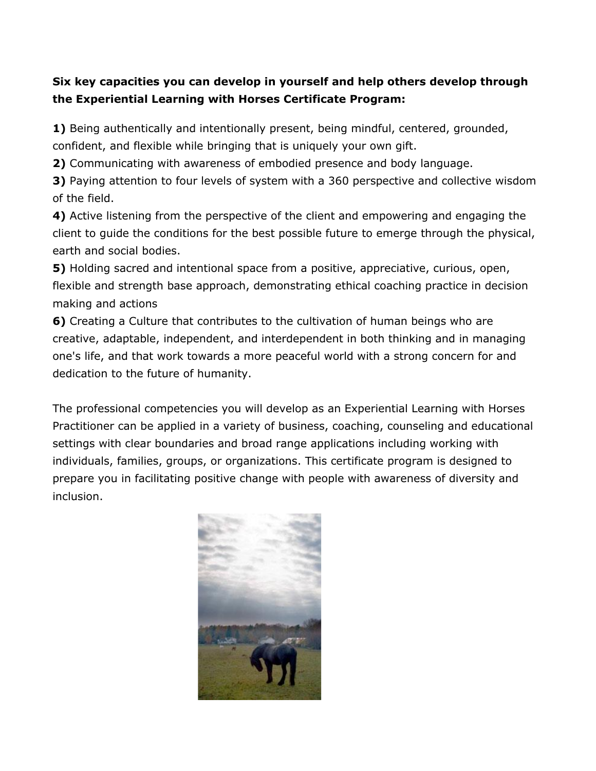# **Six key capacities you can develop in yourself and help others develop through the Experiential Learning with Horses Certificate Program:**

**1)** Being authentically and intentionally present, being mindful, centered, grounded, confident, and flexible while bringing that is uniquely your own gift.

**2)** Communicating with awareness of embodied presence and body language.

**3)** Paying attention to four levels of system with a 360 perspective and collective wisdom of the field.

**4)** Active listening from the perspective of the client and empowering and engaging the client to guide the conditions for the best possible future to emerge through the physical, earth and social bodies.

**5)** Holding sacred and intentional space from a positive, appreciative, curious, open, flexible and strength base approach, demonstrating ethical coaching practice in decision making and actions

**6)** Creating a Culture that contributes to the cultivation of human beings who are creative, adaptable, independent, and interdependent in both thinking and in managing one's life, and that work towards a more peaceful world with a strong concern for and dedication to the future of humanity.

The professional competencies you will develop as an Experiential Learning with Horses Practitioner can be applied in a variety of business, coaching, counseling and educational settings with clear boundaries and broad range applications including working with individuals, families, groups, or organizations. This certificate program is designed to prepare you in facilitating positive change with people with awareness of diversity and inclusion.

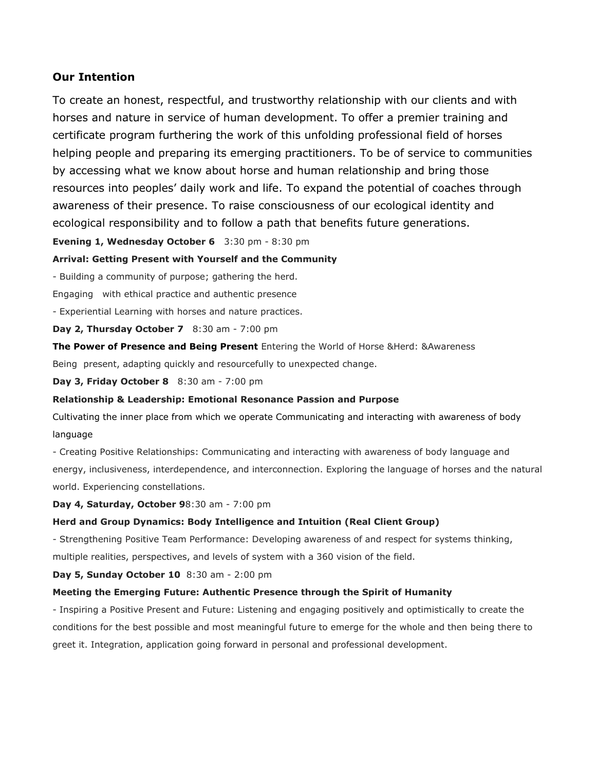### **Our Intention**

To create an honest, respectful, and trustworthy relationship with our clients and with horses and nature in service of human development. To offer a premier training and certificate program furthering the work of this unfolding professional field of horses helping people and preparing its emerging practitioners. To be of service to communities by accessing what we know about horse and human relationship and bring those resources into peoples' daily work and life. To expand the potential of coaches through awareness of their presence. To raise consciousness of our ecological identity and ecological responsibility and to follow a path that benefits future generations.

**Evening 1, Wednesday October 6** 3:30 pm - 8:30 pm

#### **Arrival: Getting Present with Yourself and the Community**

- Building a community of purpose; gathering the herd.

Engaging with ethical practice and authentic presence

- Experiential Learning with horses and nature practices.

**Day 2, Thursday October 7** 8:30 am - 7:00 pm

**The Power of Presence and Being Present** Entering the World of Horse &Herd: &Awareness

Being present, adapting quickly and resourcefully to unexpected change.

**Day 3, Friday October 8** 8:30 am - 7:00 pm

#### **Relationship & Leadership: Emotional Resonance Passion and Purpose**

Cultivating the inner place from which we operate Communicating and interacting with awareness of body language

- Creating Positive Relationships: Communicating and interacting with awareness of body language and energy, inclusiveness, interdependence, and interconnection. Exploring the language of horses and the natural world. Experiencing constellations.

**Day 4, Saturday, October 9**8:30 am - 7:00 pm

#### **Herd and Group Dynamics: Body Intelligence and Intuition (Real Client Group)**

- Strengthening Positive Team Performance: Developing awareness of and respect for systems thinking, multiple realities, perspectives, and levels of system with a 360 vision of the field.

**Day 5, Sunday October 10** 8:30 am - 2:00 pm

#### **Meeting the Emerging Future: Authentic Presence through the Spirit of Humanity**

- Inspiring a Positive Present and Future: Listening and engaging positively and optimistically to create the conditions for the best possible and most meaningful future to emerge for the whole and then being there to greet it. Integration, application going forward in personal and professional development.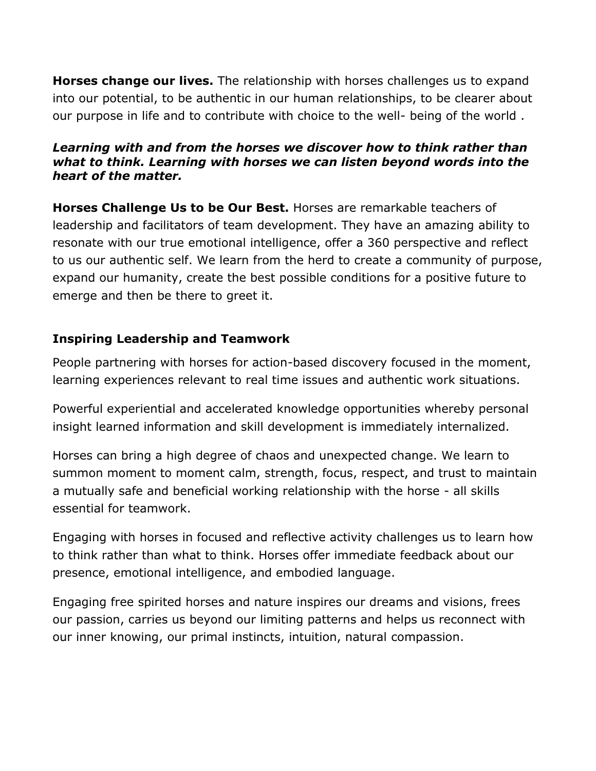**Horses change our lives.** The relationship with horses challenges us to expand into our potential, to be authentic in our human relationships, to be clearer about our purpose in life and to contribute with choice to the well- being of the world .

## *Learning with and from the horses we discover how to think rather than what to think. Learning with horses we can listen beyond words into the heart of the matter.*

**Horses Challenge Us to be Our Best.** Horses are remarkable teachers of leadership and facilitators of team development. They have an amazing ability to resonate with our true emotional intelligence, offer a 360 perspective and reflect to us our authentic self. We learn from the herd to create a community of purpose, expand our humanity, create the best possible conditions for a positive future to emerge and then be there to greet it.

## **Inspiring Leadership and Teamwork**

People partnering with horses for action-based discovery focused in the moment, learning experiences relevant to real time issues and authentic work situations.

Powerful experiential and accelerated knowledge opportunities whereby personal insight learned information and skill development is immediately internalized.

Horses can bring a high degree of chaos and unexpected change. We learn to summon moment to moment calm, strength, focus, respect, and trust to maintain a mutually safe and beneficial working relationship with the horse - all skills essential for teamwork.

Engaging with horses in focused and reflective activity challenges us to learn how to think rather than what to think. Horses offer immediate feedback about our presence, emotional intelligence, and embodied language.

Engaging free spirited horses and nature inspires our dreams and visions, frees our passion, carries us beyond our limiting patterns and helps us reconnect with our inner knowing, our primal instincts, intuition, natural compassion.